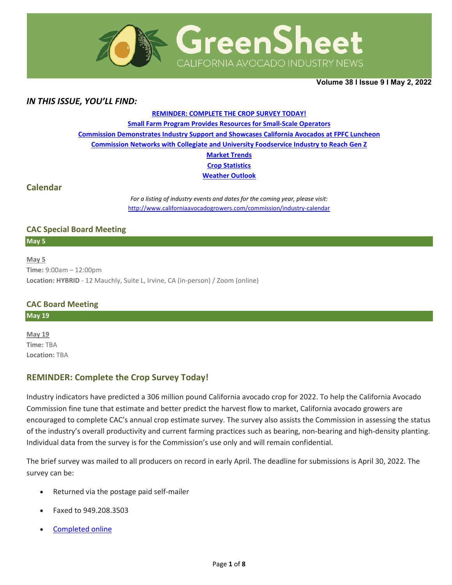

**Volume 38 Ι Issue 9 Ι May 2, 2022** 

## *IN THIS ISSUE, YOU'LL FIND:*

#### **[REMINDER: COMPLETE THE CROP SURVEY TODAY!](#page-0-0)**

**[Small Farm Program Provides Resources for Small-Scale Operators](#page-0-0)**

**[Commission Demonstrates Industry Support and Showcases California Avocados at FPFC Luncheon](#page-1-0)**

**[Commission Networks with Collegiate and University Foodservice Industry to Reach Gen Z](#page-2-0)**

**[Market Trends](#page-3-0) Crop [Statistics](#page-4-0)**

**[Weather Outlook](#page-5-0)**

### **Calendar**

*For a listing of industry events and dates for the coming year, please visit:*  <http://www.californiaavocadogrowers.com/commission/industry-calendar>

### **CAC Special Board Meeting**

**May 5** 

**May 5 Time:** 9:00am – 12:00pm **Location: HYBRID** - 12 Mauchly, Suite L, Irvine, CA (in-person) / Zoom (online)

## **CAC Board Meeting**

### **May 19**

**May 19 Time:** TBA **Location:** TBA

## <span id="page-0-0"></span>**REMINDER: Complete the Crop Survey Today!**

Industry indicators have predicted a 306 million pound California avocado crop for 2022. To help the California Avocado Commission fine tune that estimate and better predict the harvest flow to market, California avocado growers are encouraged to complete CAC's annual crop estimate survey. The survey also assists the Commission in assessing the status of the industry's overall productivity and current farming practices such as bearing, non-bearing and high-density planting. Individual data from the survey is for the Commission's use only and will remain confidential.

The brief survey was mailed to all producers on record in early April. The deadline for submissions is April 30, 2022. The survey can be:

- Returned via the postage paid self-mailer
- Faxed to 949.208.3503
- [Completed online](http://californiaavocadogrowers.com/industry/crop-projections-and-estimates/crop-estimate-form)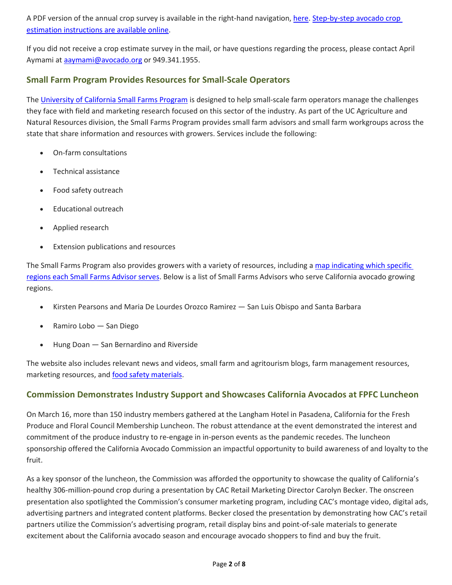A PDF version of the annual crop survey is available in the right-hand navigation[, here.](https://www.californiaavocadogrowers.com/articles/growers-encouraged-complete-brief-annual-crop-survey-critical-predicting-fruits-flow) Step-by-step avocado crop [estimation instructions are available online.](https://www.californiaavocadogrowers.com/industry/crop-statistics/crop-estimation-instructions)

If you did not receive a crop estimate survey in the mail, or have questions regarding the process, please contact April Aymami at [aaymami@avocado.org](mailto:aaymami@avocado.org) or 949.341.1955.

## **Small Farm Program Provides Resources for Small-Scale Operators**

The [University of California Small Farms Program](https://sfp.ucanr.edu/) is designed to help small-scale farm operators manage the challenges they face with field and marketing research focused on this sector of the industry. As part of the UC Agriculture and Natural Resources division, the Small Farms Program provides small farm advisors and small farm workgroups across the state that share information and resources with growers. Services include the following:

- On-farm consultations
- Technical assistance
- Food safety outreach
- Educational outreach
- Applied research
- Extension publications and resources

The Small Farms Program also provides growers with a variety of resources, including a map indicating which specific [regions each Small Farms Advisor serves.](https://sfp.ucanr.edu/overview/famap2/) Below is a list of Small Farms Advisors who serve California avocado growing regions.

- Kirsten Pearsons and Maria De Lourdes Orozco Ramirez San Luis Obispo and Santa Barbara
- Ramiro Lobo San Diego
- Hung Doan San Bernardino and Riverside

The website also includes relevant news and videos, small farm and agritourism blogs, farm management resources, marketing resources, and [food safety materials.](https://sfp.ucanr.edu/food_safety/)

## <span id="page-1-0"></span>**Commission Demonstrates Industry Support and Showcases California Avocados at FPFC Luncheon**

On March 16, more than 150 industry members gathered at the Langham Hotel in Pasadena, California for the Fresh Produce and Floral Council Membership Luncheon. The robust attendance at the event demonstrated the interest and commitment of the produce industry to re-engage in in-person events as the pandemic recedes. The luncheon sponsorship offered the California Avocado Commission an impactful opportunity to build awareness of and loyalty to the fruit.

As a key sponsor of the luncheon, the Commission was afforded the opportunity to showcase the quality of California's healthy 306-million-pound crop during a presentation by CAC Retail Marketing Director Carolyn Becker. The onscreen presentation also spotlighted the Commission's consumer marketing program, including CAC's montage video, digital ads, advertising partners and integrated content platforms. Becker closed the presentation by demonstrating how CAC's retail partners utilize the Commission's advertising program, retail display bins and point-of-sale materials to generate excitement about the California avocado season and encourage avocado shoppers to find and buy the fruit.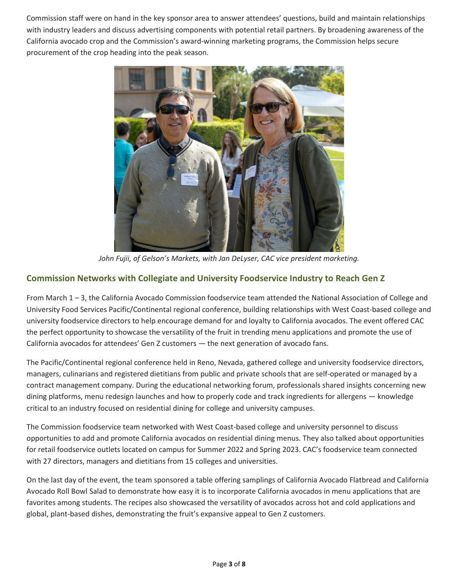Commission staff were on hand in the key sponsor area to answer attendees' questions, build and maintain relationships with industry leaders and discuss advertising components with potential retail partners. By broadening awareness of the California avocado crop and the Commission's award-winning marketing programs, the Commission helps secure procurement of the crop heading into the peak season.



*John Fujii, of Gelson's Markets, with Jan DeLyser, CAC vice president marketing.*

## <span id="page-2-0"></span>**Commission Networks with Collegiate and University Foodservice Industry to Reach Gen Z**

From March 1 – 3, the California Avocado Commission foodservice team attended the National Association of College and University Food Services Pacific/Continental regional conference, building relationships with West Coast-based college and university foodservice directors to help encourage demand for and loyalty to California avocados. The event offered CAC the perfect opportunity to showcase the versatility of the fruit in trending menu applications and promote the use of California avocados for attendees' Gen Z customers — the next generation of avocado fans.

The Pacific/Continental regional conference held in Reno, Nevada, gathered college and university foodservice directors, managers, culinarians and registered dietitians from public and private schools that are self-operated or managed by a contract management company. During the educational networking forum, professionals shared insights concerning new dining platforms, menu redesign launches and how to properly code and track ingredients for allergens — knowledge critical to an industry focused on residential dining for college and university campuses.

The Commission foodservice team networked with West Coast-based college and university personnel to discuss opportunities to add and promote California avocados on residential dining menus. They also talked about opportunities for retail foodservice outlets located on campus for Summer 2022 and Spring 2023. CAC's foodservice team connected with 27 directors, managers and dietitians from 15 colleges and universities.

On the last day of the event, the team sponsored a table offering samplings of California Avocado Flatbread and California Avocado Roll Bowl Salad to demonstrate how easy it is to incorporate California avocados in menu applications that are favorites among students. The recipes also showcased the versatility of avocados across hot and cold applications and global, plant-based dishes, demonstrating the fruit's expansive appeal to Gen Z customers.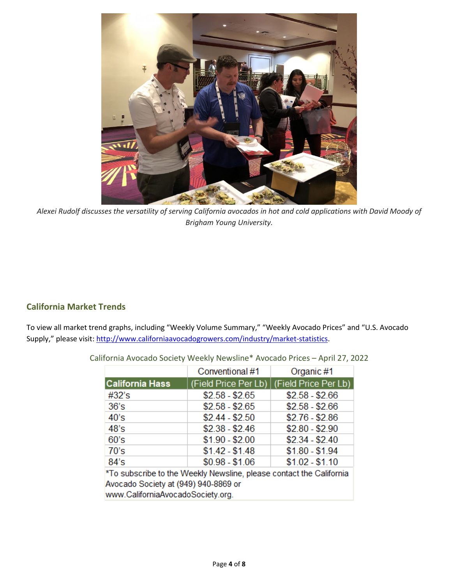

*Alexei Rudolf discusses the versatility of serving California avocados in hot and cold applications with David Moody of Brigham Young University.*

## <span id="page-3-0"></span>**California Market Trends**

To view all market trend graphs, including "Weekly Volume Summary," "Weekly Avocado Prices" and "U.S. Avocado Supply," please visit[: http://www.californiaavocadogrowers.com/industry/market-statistics.](http://www.californiaavocadogrowers.com/industry/market-statistics)

|                                                                                                             | Conventional #1 | Organic #1                                  |  |  |  |
|-------------------------------------------------------------------------------------------------------------|-----------------|---------------------------------------------|--|--|--|
| California Hass                                                                                             |                 | (Field Price Per Lb)   (Field Price Per Lb) |  |  |  |
| #32's                                                                                                       | $$2.58 - $2.65$ | $$2.58 - $2.66$                             |  |  |  |
| 36's                                                                                                        | $$2.58 - $2.65$ | $$2.58 - $2.66$                             |  |  |  |
| 40's                                                                                                        | $$2.44 - $2.50$ | $$2.76 - $2.86$                             |  |  |  |
| 48's                                                                                                        | $$2.38 - $2.46$ | $$2.80 - $2.90$                             |  |  |  |
| 60's                                                                                                        | $$1.90 - $2.00$ | $$2.34 - $2.40$                             |  |  |  |
| 70's                                                                                                        | $$1.42 - $1.48$ | $$1.80 - $1.94$                             |  |  |  |
| $84^\circ$ s                                                                                                | $$0.98 - $1.06$ | $$1.02 - $1.10$                             |  |  |  |
| *To subscribe to the Weekly Newsline, please contact the California<br>Avocado Society at (949) 940-8869 or |                 |                                             |  |  |  |

California Avocado Society Weekly Newsline\* Avocado Prices – April 27, 2022

at (949) 940-8869 or www.CaliforniaAvocadoSociety.org.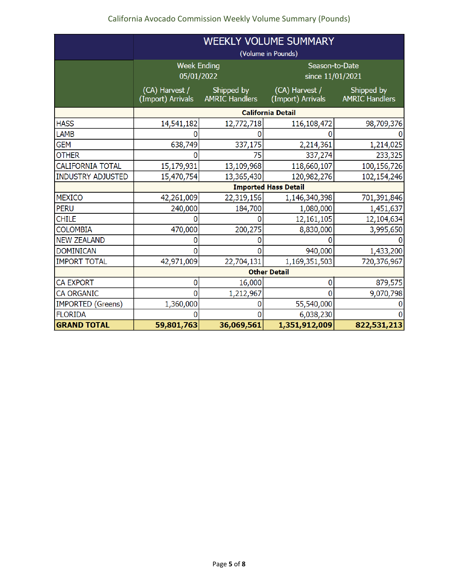# California Avocado Commission Weekly Volume Summary (Pounds)

<span id="page-4-0"></span>

|                          | <b>WEEKLY VOLUME SUMMARY</b>        |                                     |                                     |                                     |  |
|--------------------------|-------------------------------------|-------------------------------------|-------------------------------------|-------------------------------------|--|
|                          | (Volume in Pounds)                  |                                     |                                     |                                     |  |
|                          | <b>Week Ending</b><br>05/01/2022    |                                     | Season-to-Date<br>since 11/01/2021  |                                     |  |
|                          | (CA) Harvest /<br>(Import) Arrivals | Shipped by<br><b>AMRIC Handlers</b> | (CA) Harvest /<br>(Import) Arrivals | Shipped by<br><b>AMRIC Handlers</b> |  |
|                          | <b>California Detail</b>            |                                     |                                     |                                     |  |
| <b>HASS</b>              | 14,541,182                          | 12,772,718                          | 116,108,472                         | 98,709,376                          |  |
| <b>LAMB</b>              |                                     |                                     |                                     |                                     |  |
| <b>GEM</b>               | 638,749                             | 337,175                             | 2,214,361                           | 1,214,025                           |  |
| <b>OTHER</b>             |                                     | 75                                  | 337,274                             | 233,325                             |  |
| <b>CALIFORNIA TOTAL</b>  | 15,179,931                          | 13,109,968                          | 118,660,107                         | 100,156,726                         |  |
| <b>INDUSTRY ADJUSTED</b> | 15,470,754                          | 13,365,430                          | 120,982,276                         | 102,154,246                         |  |
|                          | <b>Imported Hass Detail</b>         |                                     |                                     |                                     |  |
| <b>MEXICO</b>            | 42,261,009                          | 22,319,156                          | 1,146,340,398                       | 701,391,846                         |  |
| <b>PERU</b>              | 240,000                             | 184,700                             | 1,080,000                           | 1,451,637                           |  |
| <b>CHILE</b>             | O                                   | $\Omega$                            | 12,161,105                          | 12,104,634                          |  |
| <b>COLOMBIA</b>          | 470,000                             | 200,275                             | 8,830,000                           | 3,995,650                           |  |
| <b>NEW ZEALAND</b>       |                                     | 0                                   |                                     |                                     |  |
| <b>DOMINICAN</b>         |                                     | 0                                   | 940,000                             | 1,433,200                           |  |
| <b>IMPORT TOTAL</b>      | 42,971,009                          | 22,704,131                          | 1,169,351,503                       | 720,376,967                         |  |
|                          | <b>Other Detail</b>                 |                                     |                                     |                                     |  |
| <b>CA EXPORT</b>         | 0                                   | 16,000                              | 0                                   | 879,575                             |  |
| <b>CA ORGANIC</b>        | 0                                   | 1,212,967                           | O                                   | 9,070,798                           |  |
| <b>IMPORTED (Greens)</b> | 1,360,000                           | 0                                   | 55,540,000                          |                                     |  |
| <b>FLORIDA</b>           |                                     | O                                   | 6,038,230                           |                                     |  |
| <b>GRAND TOTAL</b>       | 59,801,763                          | 36,069,561                          | 1,351,912,009                       | 822,531,213                         |  |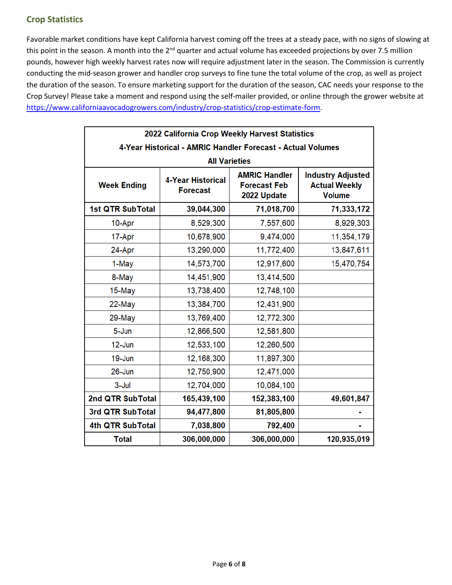## **Crop Statistics**

Favorable market conditions have kept California harvest coming off the trees at a steady pace, with no signs of slowing at this point in the season. A month into the 2<sup>nd</sup> quarter and actual volume has exceeded projections by over 7.5 million pounds, however high weekly harvest rates now will require adjustment later in the season. The Commission is currently conducting the mid-season grower and handler crop surveys to fine tune the total volume of the crop, as well as project the duration of the season. To ensure marketing support for the duration of the season, CAC needs your response to the Crop Survey! Please take a moment and respond using the self-mailer provided, or online through the grower website at https://www.californiaavocadogrowers.com/industry/crop-statistics/crop-estimate-form.

<span id="page-5-0"></span>

| 2022 California Crop Weekly Harvest Statistics              |                                             |                                                            |                                                                   |  |  |  |
|-------------------------------------------------------------|---------------------------------------------|------------------------------------------------------------|-------------------------------------------------------------------|--|--|--|
| 4-Year Historical - AMRIC Handler Forecast - Actual Volumes |                                             |                                                            |                                                                   |  |  |  |
| <b>All Varieties</b>                                        |                                             |                                                            |                                                                   |  |  |  |
| <b>Week Ending</b>                                          | <b>4-Year Historical</b><br><b>Forecast</b> | <b>AMRIC Handler</b><br><b>Forecast Feb</b><br>2022 Update | <b>Industry Adjusted</b><br><b>Actual Weekly</b><br><b>Volume</b> |  |  |  |
| <b>1st QTR SubTotal</b>                                     | 39,044,300                                  | 71,018,700                                                 | 71,333,172                                                        |  |  |  |
| 10-Apr                                                      | 8,529,300                                   | 7,557,600                                                  | 8,929,303                                                         |  |  |  |
| 17-Apr                                                      | 10,678,900                                  | 9,474,000                                                  | 11,354,179                                                        |  |  |  |
| 24-Apr                                                      | 13,290,000                                  | 11,772,400                                                 | 13,847,611                                                        |  |  |  |
| 1-May                                                       | 14,573,700                                  | 12,917,600                                                 | 15,470,754                                                        |  |  |  |
| 8-May                                                       | 14,451,900                                  | 13,414,500                                                 |                                                                   |  |  |  |
| 15-May                                                      | 13,738,400                                  | 12,748,100                                                 |                                                                   |  |  |  |
| 22-May                                                      | 13,384,700                                  | 12,431,900                                                 |                                                                   |  |  |  |
| 29-May                                                      | 13,769,400                                  | 12,772,300                                                 |                                                                   |  |  |  |
| 5-Jun                                                       | 12,866,500                                  | 12,581,800                                                 |                                                                   |  |  |  |
| $12$ -Jun                                                   | 12,533,100                                  | 12,260,500                                                 |                                                                   |  |  |  |
| $19 - Jun$                                                  | 12,168,300                                  | 11,897,300                                                 |                                                                   |  |  |  |
| $26 - Jun$                                                  | 12,750,900                                  | 12,471,000                                                 |                                                                   |  |  |  |
| $3 -$ Jul                                                   | 12,704,000                                  | 10,084,100                                                 |                                                                   |  |  |  |
| 2nd QTR SubTotal                                            | 165,439,100                                 | 152,383,100                                                | 49,601,847                                                        |  |  |  |
| 3rd QTR SubTotal                                            | 94,477,800                                  | 81,805,800                                                 |                                                                   |  |  |  |
| 4th QTR SubTotal                                            | 7,038,800                                   | 792,400                                                    |                                                                   |  |  |  |
| <b>Total</b>                                                | 306,000,000                                 | 306,000,000                                                | 120,935,019                                                       |  |  |  |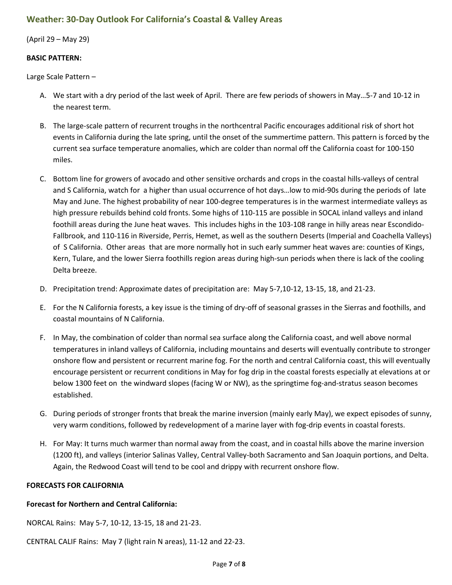## **Weather: 30-Day Outlook For California's Coastal & Valley Areas**

(April 29 – May 29)

#### **BASIC PATTERN:**

Large Scale Pattern –

- A. We start with a dry period of the last week of April. There are few periods of showers in May…5-7 and 10-12 in the nearest term.
- B. The large-scale pattern of recurrent troughs in the northcentral Pacific encourages additional risk of short hot events in California during the late spring, until the onset of the summertime pattern. This pattern is forced by the current sea surface temperature anomalies, which are colder than normal off the California coast for 100-150 miles.
- C. Bottom line for growers of avocado and other sensitive orchards and crops in the coastal hills-valleys of central and S California, watch for a higher than usual occurrence of hot days…low to mid-90s during the periods of late May and June. The highest probability of near 100-degree temperatures is in the warmest intermediate valleys as high pressure rebuilds behind cold fronts. Some highs of 110-115 are possible in SOCAL inland valleys and inland foothill areas during the June heat waves. This includes highs in the 103-108 range in hilly areas near Escondido-Fallbrook, and 110-116 in Riverside, Perris, Hemet, as well as the southern Deserts (Imperial and Coachella Valleys) of S California. Other areas that are more normally hot in such early summer heat waves are: counties of Kings, Kern, Tulare, and the lower Sierra foothills region areas during high-sun periods when there is lack of the cooling Delta breeze.
- D. Precipitation trend: Approximate dates of precipitation are: May 5-7,10-12, 13-15, 18, and 21-23.
- E. For the N California forests, a key issue is the timing of dry-off of seasonal grasses in the Sierras and foothills, and coastal mountains of N California.
- F. In May, the combination of colder than normal sea surface along the California coast, and well above normal temperatures in inland valleys of California, including mountains and deserts will eventually contribute to stronger onshore flow and persistent or recurrent marine fog. For the north and central California coast, this will eventually encourage persistent or recurrent conditions in May for fog drip in the coastal forests especially at elevations at or below 1300 feet on the windward slopes (facing W or NW), as the springtime fog-and-stratus season becomes established.
- G. During periods of stronger fronts that break the marine inversion (mainly early May), we expect episodes of sunny, very warm conditions, followed by redevelopment of a marine layer with fog-drip events in coastal forests.
- H. For May: It turns much warmer than normal away from the coast, and in coastal hills above the marine inversion (1200 ft), and valleys (interior Salinas Valley, Central Valley-both Sacramento and San Joaquin portions, and Delta. Again, the Redwood Coast will tend to be cool and drippy with recurrent onshore flow.

### **FORECASTS FOR CALIFORNIA**

### **Forecast for Northern and Central California:**

NORCAL Rains: May 5-7, 10-12, 13-15, 18 and 21-23.

CENTRAL CALIF Rains: May 7 (light rain N areas), 11-12 and 22-23.